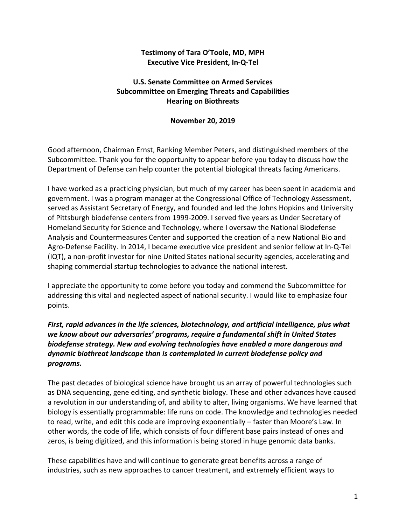### **Testimony of Tara O'Toole, MD, MPH Executive Vice President, In‐Q‐Tel**

## **U.S. Senate Committee on Armed Services Subcommittee on Emerging Threats and Capabilities Hearing on Biothreats**

#### **November 20, 2019**

Good afternoon, Chairman Ernst, Ranking Member Peters, and distinguished members of the Subcommittee. Thank you for the opportunity to appear before you today to discuss how the Department of Defense can help counter the potential biological threats facing Americans.

I have worked as a practicing physician, but much of my career has been spent in academia and government. I was a program manager at the Congressional Office of Technology Assessment, served as Assistant Secretary of Energy, and founded and led the Johns Hopkins and University of Pittsburgh biodefense centers from 1999**‐**2009. I served five years as Under Secretary of Homeland Security for Science and Technology, where I oversaw the National Biodefense Analysis and Countermeasures Center and supported the creation of a new National Bio and Agro**‐**Defense Facility. In 2014, I became executive vice president and senior fellow at In**‐**Q**‐**Tel (IQT), a non**‐**profit investor for nine United States national security agencies, accelerating and shaping commercial startup technologies to advance the national interest.

I appreciate the opportunity to come before you today and commend the Subcommittee for addressing this vital and neglected aspect of national security. I would like to emphasize four points.

# *First, rapid advances in the life sciences, biotechnology, and artificial intelligence, plus what we know about our adversaries' programs, require a fundamental shift in United States biodefense strategy. New and evolving technologies have enabled a more dangerous and dynamic biothreat landscape than is contemplated in current biodefense policy and programs.*

The past decades of biological science have brought us an array of powerful technologies such as DNA sequencing, gene editing, and synthetic biology. These and other advances have caused a revolution in our understanding of, and ability to alter, living organisms. We have learned that biology is essentially programmable: life runs on code. The knowledge and technologies needed to read, write, and edit this code are improving exponentially – faster than Moore's Law. In other words, the code of life, which consists of four different base pairs instead of ones and zeros, is being digitized, and this information is being stored in huge genomic data banks.

These capabilities have and will continue to generate great benefits across a range of industries, such as new approaches to cancer treatment, and extremely efficient ways to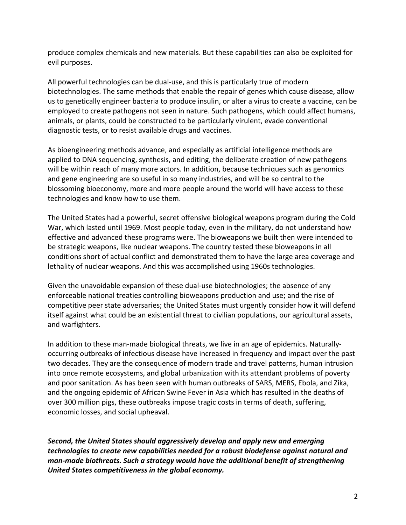produce complex chemicals and new materials. But these capabilities can also be exploited for evil purposes.

All powerful technologies can be dual**‐**use, and this is particularly true of modern biotechnologies. The same methods that enable the repair of genes which cause disease, allow us to genetically engineer bacteria to produce insulin, or alter a virus to create a vaccine, can be employed to create pathogens not seen in nature. Such pathogens, which could affect humans, animals, or plants, could be constructed to be particularly virulent, evade conventional diagnostic tests, or to resist available drugs and vaccines.

As bioengineering methods advance, and especially as artificial intelligence methods are applied to DNA sequencing, synthesis, and editing, the deliberate creation of new pathogens will be within reach of many more actors. In addition, because techniques such as genomics and gene engineering are so useful in so many industries, and will be so central to the blossoming bioeconomy, more and more people around the world will have access to these technologies and know how to use them.

The United States had a powerful, secret offensive biological weapons program during the Cold War, which lasted until 1969. Most people today, even in the military, do not understand how effective and advanced these programs were. The bioweapons we built then were intended to be strategic weapons, like nuclear weapons. The country tested these bioweapons in all conditions short of actual conflict and demonstrated them to have the large area coverage and lethality of nuclear weapons. And this was accomplished using 1960s technologies.

Given the unavoidable expansion of these dual**‐**use biotechnologies; the absence of any enforceable national treaties controlling bioweapons production and use; and the rise of competitive peer state adversaries; the United States must urgently consider how it will defend itself against what could be an existential threat to civilian populations, our agricultural assets, and warfighters.

In addition to these man**‐**made biological threats, we live in an age of epidemics. Naturally**‐** occurring outbreaks of infectious disease have increased in frequency and impact over the past two decades. They are the consequence of modern trade and travel patterns, human intrusion into once remote ecosystems, and global urbanization with its attendant problems of poverty and poor sanitation. As has been seen with human outbreaks of SARS, MERS, Ebola, and Zika, and the ongoing epidemic of African Swine Fever in Asia which has resulted in the deaths of over 300 million pigs, these outbreaks impose tragic costs in terms of death, suffering, economic losses, and social upheaval.

*Second, the United States should aggressively develop and apply new and emerging technologies to create new capabilities needed for a robust biodefense against natural and man‐made biothreats. Such a strategy would have the additional benefit of strengthening United States competitiveness in the global economy.*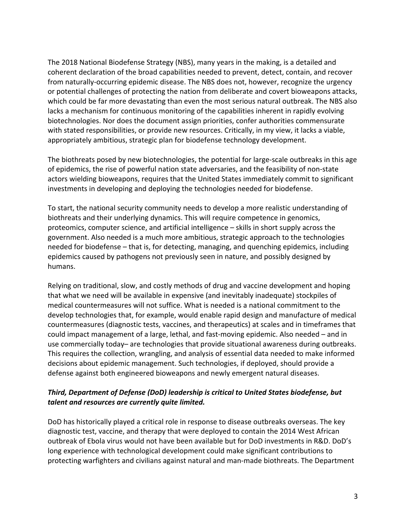The 2018 National Biodefense Strategy (NBS), many years in the making, is a detailed and coherent declaration of the broad capabilities needed to prevent, detect, contain, and recover from naturally**‐**occurring epidemic disease. The NBS does not, however, recognize the urgency or potential challenges of protecting the nation from deliberate and covert bioweapons attacks, which could be far more devastating than even the most serious natural outbreak. The NBS also lacks a mechanism for continuous monitoring of the capabilities inherent in rapidly evolving biotechnologies. Nor does the document assign priorities, confer authorities commensurate with stated responsibilities, or provide new resources. Critically, in my view, it lacks a viable, appropriately ambitious, strategic plan for biodefense technology development.

The biothreats posed by new biotechnologies, the potential for large**‐**scale outbreaks in this age of epidemics, the rise of powerful nation state adversaries, and the feasibility of non**‐**state actors wielding bioweapons, requires that the United States immediately commit to significant investments in developing and deploying the technologies needed for biodefense.

To start, the national security community needs to develop a more realistic understanding of biothreats and their underlying dynamics. This will require competence in genomics, proteomics, computer science, and artificial intelligence – skills in short supply across the government. Also needed is a much more ambitious, strategic approach to the technologies needed for biodefense – that is, for detecting, managing, and quenching epidemics, including epidemics caused by pathogens not previously seen in nature, and possibly designed by humans.

Relying on traditional, slow, and costly methods of drug and vaccine development and hoping that what we need will be available in expensive (and inevitably inadequate) stockpiles of medical countermeasures will not suffice. What is needed is a national commitment to the develop technologies that, for example, would enable rapid design and manufacture of medical countermeasures (diagnostic tests, vaccines, and therapeutics) at scales and in timeframes that could impact management of a large, lethal, and fast**‐**moving epidemic. Also needed – and in use commercially today– are technologies that provide situational awareness during outbreaks. This requires the collection, wrangling, and analysis of essential data needed to make informed decisions about epidemic management. Such technologies, if deployed, should provide a defense against both engineered bioweapons and newly emergent natural diseases.

### *Third, Department of Defense (DoD) leadership is critical to United States biodefense, but talent and resources are currently quite limited.*

DoD has historically played a critical role in response to disease outbreaks overseas. The key diagnostic test, vaccine, and therapy that were deployed to contain the 2014 West African outbreak of Ebola virus would not have been available but for DoD investments in R&D. DoD's long experience with technological development could make significant contributions to protecting warfighters and civilians against natural and man**‐**made biothreats. The Department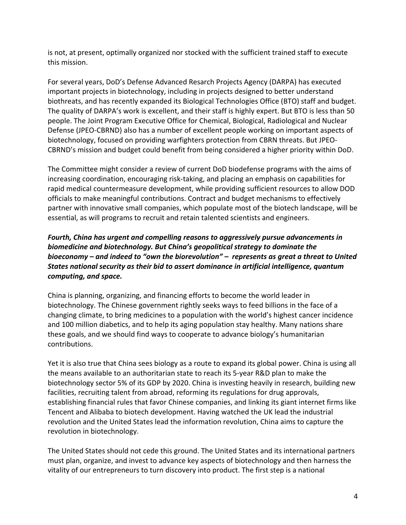is not, at present, optimally organized nor stocked with the sufficient trained staff to execute this mission.

For several years, DoD's Defense Advanced Resarch Projects Agency (DARPA) has executed important projects in biotechnology, including in projects designed to better understand biothreats, and has recently expanded its Biological Technologies Office (BTO) staff and budget. The quality of DARPA's work is excellent, and their staff is highly expert. But BTO is less than 50 people. The Joint Program Executive Office for Chemical, Biological, Radiological and Nuclear Defense (JPEO**‐**CBRND) also has a number of excellent people working on important aspects of biotechnology, focused on providing warfighters protection from CBRN threats. But JPEO**‐** CBRND's mission and budget could benefit from being considered a higher priority within DoD.

The Committee might consider a review of current DoD biodefense programs with the aims of increasing coordination, encouraging risk**‐**taking, and placing an emphasis on capabilities for rapid medical countermeasure development, while providing sufficient resources to allow DOD officials to make meaningful contributions. Contract and budget mechanisms to effectively partner with innovative small companies, which populate most of the biotech landscape, will be essential, as will programs to recruit and retain talented scientists and engineers.

# *Fourth, China has urgent and compelling reasons to aggressively pursue advancements in biomedicine and biotechnology. But China's geopolitical strategy to dominate the bioeconomy – and indeed to "own the biorevolution" – represents as great a threat to United States national security as their bid to assert dominance in artificial intelligence, quantum computing, and space.*

China is planning, organizing, and financing efforts to become the world leader in biotechnology. The Chinese government rightly seeks ways to feed billions in the face of a changing climate, to bring medicines to a population with the world's highest cancer incidence and 100 million diabetics, and to help its aging population stay healthy. Many nations share these goals, and we should find ways to cooperate to advance biology's humanitarian contributions.

Yet it is also true that China sees biology as a route to expand its global power. China is using all the means available to an authoritarian state to reach its 5**‐**year R&D plan to make the biotechnology sector 5% of its GDP by 2020. China is investing heavily in research, building new facilities, recruiting talent from abroad, reforming its regulations for drug approvals, establishing financial rules that favor Chinese companies, and linking its giant internet firms like Tencent and Alibaba to biotech development. Having watched the UK lead the industrial revolution and the United States lead the information revolution, China aims to capture the revolution in biotechnology.

The United States should not cede this ground. The United States and its international partners must plan, organize, and invest to advance key aspects of biotechnology and then harness the vitality of our entrepreneurs to turn discovery into product. The first step is a national